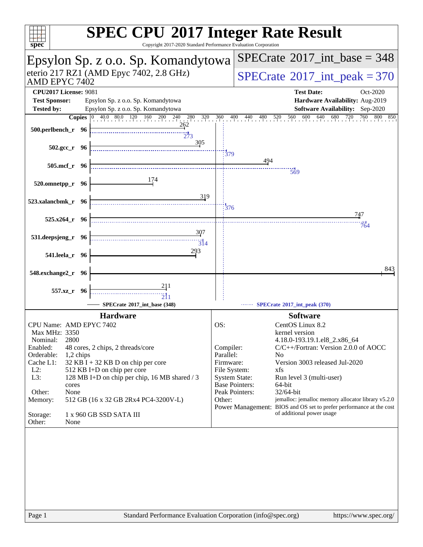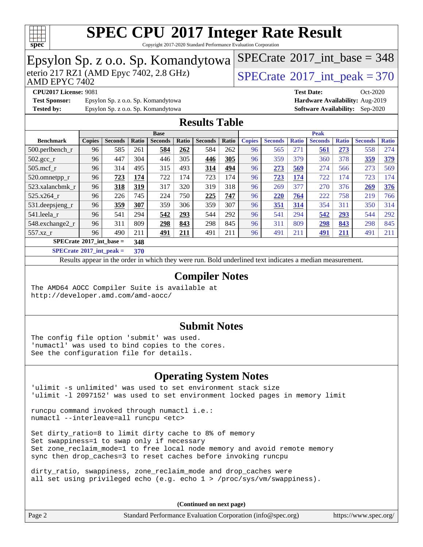

Copyright 2017-2020 Standard Performance Evaluation Corporation

#### Epsylon Sp. z o.o. Sp. Komandytowa AMD EPYC 7402 eterio 217 RZ1 (AMD Epyc 7402, 2.8 GHz)  $SPECTate^{\circ}2017$ \_int\_peak = 370  $SPECTate$ <sup>®</sup>[2017\\_int\\_base =](http://www.spec.org/auto/cpu2017/Docs/result-fields.html#SPECrate2017intbase) 348 **[CPU2017 License:](http://www.spec.org/auto/cpu2017/Docs/result-fields.html#CPU2017License)** 9081 **[Test Date:](http://www.spec.org/auto/cpu2017/Docs/result-fields.html#TestDate)** Oct-2020 **[Test Sponsor:](http://www.spec.org/auto/cpu2017/Docs/result-fields.html#TestSponsor)** Epsylon Sp. z o.o. Sp. Komandytowa **[Hardware Availability:](http://www.spec.org/auto/cpu2017/Docs/result-fields.html#HardwareAvailability)** Aug-2019 **[Tested by:](http://www.spec.org/auto/cpu2017/Docs/result-fields.html#Testedby)** Epsylon Sp. z o.o. Sp. Komandytowa **[Software Availability:](http://www.spec.org/auto/cpu2017/Docs/result-fields.html#SoftwareAvailability)** Sep-2020 **[Results Table](http://www.spec.org/auto/cpu2017/Docs/result-fields.html#ResultsTable) [Benchmark](http://www.spec.org/auto/cpu2017/Docs/result-fields.html#Benchmark) [Copies](http://www.spec.org/auto/cpu2017/Docs/result-fields.html#Copies) [Seconds](http://www.spec.org/auto/cpu2017/Docs/result-fields.html#Seconds) [Ratio](http://www.spec.org/auto/cpu2017/Docs/result-fields.html#Ratio) [Seconds](http://www.spec.org/auto/cpu2017/Docs/result-fields.html#Seconds) [Ratio](http://www.spec.org/auto/cpu2017/Docs/result-fields.html#Ratio) [Seconds](http://www.spec.org/auto/cpu2017/Docs/result-fields.html#Seconds) [Ratio](http://www.spec.org/auto/cpu2017/Docs/result-fields.html#Ratio) Base [Copies](http://www.spec.org/auto/cpu2017/Docs/result-fields.html#Copies) [Seconds](http://www.spec.org/auto/cpu2017/Docs/result-fields.html#Seconds) [Ratio](http://www.spec.org/auto/cpu2017/Docs/result-fields.html#Ratio) [Seconds](http://www.spec.org/auto/cpu2017/Docs/result-fields.html#Seconds) [Ratio](http://www.spec.org/auto/cpu2017/Docs/result-fields.html#Ratio) [Seconds](http://www.spec.org/auto/cpu2017/Docs/result-fields.html#Seconds) [Ratio](http://www.spec.org/auto/cpu2017/Docs/result-fields.html#Ratio) Peak** [500.perlbench\\_r](http://www.spec.org/auto/cpu2017/Docs/benchmarks/500.perlbench_r.html) 96 585 261 **[584](http://www.spec.org/auto/cpu2017/Docs/result-fields.html#Median) [262](http://www.spec.org/auto/cpu2017/Docs/result-fields.html#Median)** 584 262 96 565 271 **[561](http://www.spec.org/auto/cpu2017/Docs/result-fields.html#Median) [273](http://www.spec.org/auto/cpu2017/Docs/result-fields.html#Median)** 558 274 [502.gcc\\_r](http://www.spec.org/auto/cpu2017/Docs/benchmarks/502.gcc_r.html) 96 447 304 446 305 **[446](http://www.spec.org/auto/cpu2017/Docs/result-fields.html#Median) [305](http://www.spec.org/auto/cpu2017/Docs/result-fields.html#Median)** 96 359 379 360 378 **[359](http://www.spec.org/auto/cpu2017/Docs/result-fields.html#Median) [379](http://www.spec.org/auto/cpu2017/Docs/result-fields.html#Median)** [505.mcf\\_r](http://www.spec.org/auto/cpu2017/Docs/benchmarks/505.mcf_r.html) 96 314 495 315 493 **[314](http://www.spec.org/auto/cpu2017/Docs/result-fields.html#Median) [494](http://www.spec.org/auto/cpu2017/Docs/result-fields.html#Median)** 96 **[273](http://www.spec.org/auto/cpu2017/Docs/result-fields.html#Median) [569](http://www.spec.org/auto/cpu2017/Docs/result-fields.html#Median)** 274 566 273 569 [520.omnetpp\\_r](http://www.spec.org/auto/cpu2017/Docs/benchmarks/520.omnetpp_r.html) 96 **[723](http://www.spec.org/auto/cpu2017/Docs/result-fields.html#Median) [174](http://www.spec.org/auto/cpu2017/Docs/result-fields.html#Median)** 722 174 723 174 96 **[723](http://www.spec.org/auto/cpu2017/Docs/result-fields.html#Median) [174](http://www.spec.org/auto/cpu2017/Docs/result-fields.html#Median)** 722 174 723 174 [523.xalancbmk\\_r](http://www.spec.org/auto/cpu2017/Docs/benchmarks/523.xalancbmk_r.html) 96 **[318](http://www.spec.org/auto/cpu2017/Docs/result-fields.html#Median) [319](http://www.spec.org/auto/cpu2017/Docs/result-fields.html#Median)** 317 320 319 318 96 269 377 270 376 **[269](http://www.spec.org/auto/cpu2017/Docs/result-fields.html#Median) [376](http://www.spec.org/auto/cpu2017/Docs/result-fields.html#Median)** [525.x264\\_r](http://www.spec.org/auto/cpu2017/Docs/benchmarks/525.x264_r.html) 96 226 745 224 750 **[225](http://www.spec.org/auto/cpu2017/Docs/result-fields.html#Median) [747](http://www.spec.org/auto/cpu2017/Docs/result-fields.html#Median)** 96 **[220](http://www.spec.org/auto/cpu2017/Docs/result-fields.html#Median) [764](http://www.spec.org/auto/cpu2017/Docs/result-fields.html#Median)** 222 758 219 766 [531.deepsjeng\\_r](http://www.spec.org/auto/cpu2017/Docs/benchmarks/531.deepsjeng_r.html) 96 **[359](http://www.spec.org/auto/cpu2017/Docs/result-fields.html#Median) [307](http://www.spec.org/auto/cpu2017/Docs/result-fields.html#Median)** 359 306 359 307 96 **[351](http://www.spec.org/auto/cpu2017/Docs/result-fields.html#Median) [314](http://www.spec.org/auto/cpu2017/Docs/result-fields.html#Median)** 354 311 350 314 [541.leela\\_r](http://www.spec.org/auto/cpu2017/Docs/benchmarks/541.leela_r.html) 96 541 294 **[542](http://www.spec.org/auto/cpu2017/Docs/result-fields.html#Median) [293](http://www.spec.org/auto/cpu2017/Docs/result-fields.html#Median)** 544 292 96 541 294 **[542](http://www.spec.org/auto/cpu2017/Docs/result-fields.html#Median) [293](http://www.spec.org/auto/cpu2017/Docs/result-fields.html#Median)** 544 292 [548.exchange2\\_r](http://www.spec.org/auto/cpu2017/Docs/benchmarks/548.exchange2_r.html) 96 311 809 **[298](http://www.spec.org/auto/cpu2017/Docs/result-fields.html#Median) [843](http://www.spec.org/auto/cpu2017/Docs/result-fields.html#Median)** 298 845 96 311 809 **[298](http://www.spec.org/auto/cpu2017/Docs/result-fields.html#Median) [843](http://www.spec.org/auto/cpu2017/Docs/result-fields.html#Median)** 298 845 [557.xz\\_r](http://www.spec.org/auto/cpu2017/Docs/benchmarks/557.xz_r.html) 96 490 211 **[491](http://www.spec.org/auto/cpu2017/Docs/result-fields.html#Median) [211](http://www.spec.org/auto/cpu2017/Docs/result-fields.html#Median)** 491 211 96 491 211 **[491](http://www.spec.org/auto/cpu2017/Docs/result-fields.html#Median) [211](http://www.spec.org/auto/cpu2017/Docs/result-fields.html#Median)** 491 211 **[SPECrate](http://www.spec.org/auto/cpu2017/Docs/result-fields.html#SPECrate2017intbase)[2017\\_int\\_base =](http://www.spec.org/auto/cpu2017/Docs/result-fields.html#SPECrate2017intbase) 348 [SPECrate](http://www.spec.org/auto/cpu2017/Docs/result-fields.html#SPECrate2017intpeak)[2017\\_int\\_peak =](http://www.spec.org/auto/cpu2017/Docs/result-fields.html#SPECrate2017intpeak) 370** Results appear in the [order in which they were run](http://www.spec.org/auto/cpu2017/Docs/result-fields.html#RunOrder). Bold underlined text [indicates a median measurement](http://www.spec.org/auto/cpu2017/Docs/result-fields.html#Median). **[Compiler Notes](http://www.spec.org/auto/cpu2017/Docs/result-fields.html#CompilerNotes)** The AMD64 AOCC Compiler Suite is available at

<http://developer.amd.com/amd-aocc/>

#### **[Submit Notes](http://www.spec.org/auto/cpu2017/Docs/result-fields.html#SubmitNotes)**

The config file option 'submit' was used. 'numactl' was used to bind copies to the cores. See the configuration file for details.

#### **[Operating System Notes](http://www.spec.org/auto/cpu2017/Docs/result-fields.html#OperatingSystemNotes)**

'ulimit -s unlimited' was used to set environment stack size 'ulimit -l 2097152' was used to set environment locked pages in memory limit

runcpu command invoked through numactl i.e.: numactl --interleave=all runcpu <etc>

Set dirty\_ratio=8 to limit dirty cache to 8% of memory Set swappiness=1 to swap only if necessary Set zone\_reclaim\_mode=1 to free local node memory and avoid remote memory sync then drop\_caches=3 to reset caches before invoking runcpu

dirty\_ratio, swappiness, zone\_reclaim\_mode and drop\_caches were all set using privileged echo (e.g. echo 1 > /proc/sys/vm/swappiness).

**(Continued on next page)**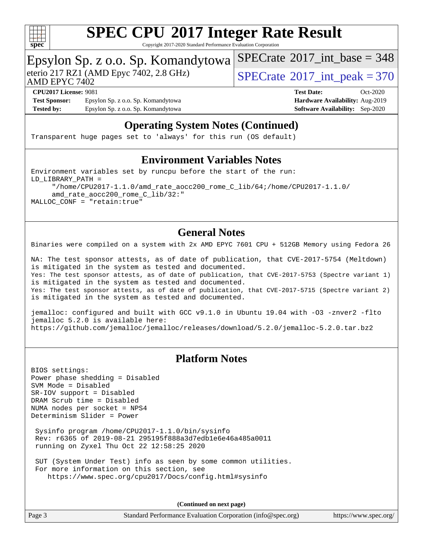

Copyright 2017-2020 Standard Performance Evaluation Corporation

#### Epsylon Sp. z o.o. Sp. Komandytowa

AMD EPYC 7402

eterio 217 RZ1 (AMD Epyc 7402, 2.8 GHz)  $SPECTate^{\circ}2017$ \_int\_peak = 370

 $SPECTate$ <sup>®</sup>[2017\\_int\\_base =](http://www.spec.org/auto/cpu2017/Docs/result-fields.html#SPECrate2017intbase) 348

**[Test Sponsor:](http://www.spec.org/auto/cpu2017/Docs/result-fields.html#TestSponsor)** Epsylon Sp. z o.o. Sp. Komandytowa **[Hardware Availability:](http://www.spec.org/auto/cpu2017/Docs/result-fields.html#HardwareAvailability)** Aug-2019 **[Tested by:](http://www.spec.org/auto/cpu2017/Docs/result-fields.html#Testedby)** Epsylon Sp. z o.o. Sp. Komandytowa **[Software Availability:](http://www.spec.org/auto/cpu2017/Docs/result-fields.html#SoftwareAvailability)** Sep-2020

**[CPU2017 License:](http://www.spec.org/auto/cpu2017/Docs/result-fields.html#CPU2017License)** 9081 **[Test Date:](http://www.spec.org/auto/cpu2017/Docs/result-fields.html#TestDate)** Oct-2020

#### **[Operating System Notes \(Continued\)](http://www.spec.org/auto/cpu2017/Docs/result-fields.html#OperatingSystemNotes)**

Transparent huge pages set to 'always' for this run (OS default)

#### **[Environment Variables Notes](http://www.spec.org/auto/cpu2017/Docs/result-fields.html#EnvironmentVariablesNotes)**

Environment variables set by runcpu before the start of the run: LD\_LIBRARY\_PATH = "/home/CPU2017-1.1.0/amd\_rate\_aocc200\_rome\_C\_lib/64;/home/CPU2017-1.1.0/ amd\_rate\_aocc200\_rome\_C\_lib/32:" MALLOC\_CONF = "retain:true"

#### **[General Notes](http://www.spec.org/auto/cpu2017/Docs/result-fields.html#GeneralNotes)**

Binaries were compiled on a system with 2x AMD EPYC 7601 CPU + 512GB Memory using Fedora 26

NA: The test sponsor attests, as of date of publication, that CVE-2017-5754 (Meltdown) is mitigated in the system as tested and documented. Yes: The test sponsor attests, as of date of publication, that CVE-2017-5753 (Spectre variant 1) is mitigated in the system as tested and documented. Yes: The test sponsor attests, as of date of publication, that CVE-2017-5715 (Spectre variant 2) is mitigated in the system as tested and documented.

jemalloc: configured and built with GCC v9.1.0 in Ubuntu 19.04 with -O3 -znver2 -flto jemalloc 5.2.0 is available here: <https://github.com/jemalloc/jemalloc/releases/download/5.2.0/jemalloc-5.2.0.tar.bz2>

#### **[Platform Notes](http://www.spec.org/auto/cpu2017/Docs/result-fields.html#PlatformNotes)**

BIOS settings: Power phase shedding = Disabled SVM Mode = Disabled SR-IOV support = Disabled DRAM Scrub time = Disabled NUMA nodes per socket = NPS4 Determinism Slider = Power

 Sysinfo program /home/CPU2017-1.1.0/bin/sysinfo Rev: r6365 of 2019-08-21 295195f888a3d7edb1e6e46a485a0011 running on Zyxel Thu Oct 22 12:58:25 2020

 SUT (System Under Test) info as seen by some common utilities. For more information on this section, see <https://www.spec.org/cpu2017/Docs/config.html#sysinfo>

**(Continued on next page)**

Page 3 Standard Performance Evaluation Corporation [\(info@spec.org\)](mailto:info@spec.org) <https://www.spec.org/>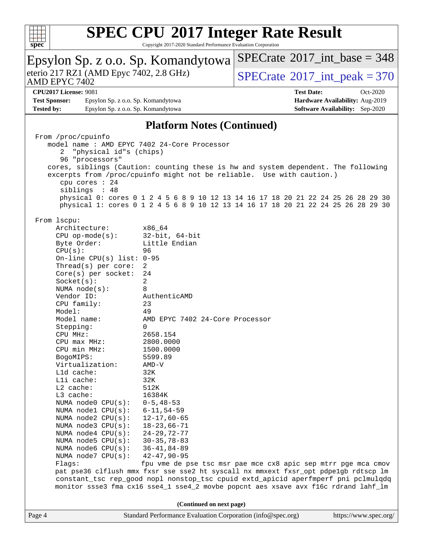

 $SPECrate$ <sup>®</sup> $2017$ \_int\_base = 348

| Epsylon Sp. z o.o. Sp. Komandytowa                                                                                                                                                                                                                                                                                                                                                                                                                                                                                                                                                                                 |                                                                                                                                                                                                                                                                                                                                                                                                                                                                                                                                                                                                                                                                                        | $SPECrate^{\circledast}2017$ int base = 348                   |                                        |  |
|--------------------------------------------------------------------------------------------------------------------------------------------------------------------------------------------------------------------------------------------------------------------------------------------------------------------------------------------------------------------------------------------------------------------------------------------------------------------------------------------------------------------------------------------------------------------------------------------------------------------|----------------------------------------------------------------------------------------------------------------------------------------------------------------------------------------------------------------------------------------------------------------------------------------------------------------------------------------------------------------------------------------------------------------------------------------------------------------------------------------------------------------------------------------------------------------------------------------------------------------------------------------------------------------------------------------|---------------------------------------------------------------|----------------------------------------|--|
| eterio 217 RZ1 (AMD Epyc 7402, 2.8 GHz)<br>AMD EPYC 7402                                                                                                                                                                                                                                                                                                                                                                                                                                                                                                                                                           |                                                                                                                                                                                                                                                                                                                                                                                                                                                                                                                                                                                                                                                                                        | $SPECTate$ <sup>®</sup> 2017_int_peak = 370                   |                                        |  |
| <b>CPU2017 License: 9081</b>                                                                                                                                                                                                                                                                                                                                                                                                                                                                                                                                                                                       |                                                                                                                                                                                                                                                                                                                                                                                                                                                                                                                                                                                                                                                                                        | <b>Test Date:</b>                                             | Oct-2020                               |  |
| <b>Test Sponsor:</b><br>Epsylon Sp. z o.o. Sp. Komandytowa                                                                                                                                                                                                                                                                                                                                                                                                                                                                                                                                                         |                                                                                                                                                                                                                                                                                                                                                                                                                                                                                                                                                                                                                                                                                        |                                                               | Hardware Availability: Aug-2019        |  |
| <b>Tested by:</b><br>Epsylon Sp. z o.o. Sp. Komandytowa                                                                                                                                                                                                                                                                                                                                                                                                                                                                                                                                                            |                                                                                                                                                                                                                                                                                                                                                                                                                                                                                                                                                                                                                                                                                        |                                                               | <b>Software Availability:</b> Sep-2020 |  |
|                                                                                                                                                                                                                                                                                                                                                                                                                                                                                                                                                                                                                    | <b>Platform Notes (Continued)</b>                                                                                                                                                                                                                                                                                                                                                                                                                                                                                                                                                                                                                                                      |                                                               |                                        |  |
| From /proc/cpuinfo<br>"physical id"s (chips)<br>2<br>96 "processors"<br>cpu cores : 24<br>siblings : 48                                                                                                                                                                                                                                                                                                                                                                                                                                                                                                            | model name: AMD EPYC 7402 24-Core Processor<br>cores, siblings (Caution: counting these is hw and system dependent. The following<br>excerpts from /proc/cpuinfo might not be reliable. Use with caution.)                                                                                                                                                                                                                                                                                                                                                                                                                                                                             |                                                               |                                        |  |
|                                                                                                                                                                                                                                                                                                                                                                                                                                                                                                                                                                                                                    | physical 0: cores 0 1 2 4 5 6 8 9 10 12 13 14 16 17 18 20 21 22 24 25 26 28 29 30<br>physical 1: cores 0 1 2 4 5 6 8 9 10 12 13 14 16 17 18 20 21 22 24 25 26 28 29 30                                                                                                                                                                                                                                                                                                                                                                                                                                                                                                                 |                                                               |                                        |  |
| From 1scpu:<br>Architecture:<br>$CPU$ op-mode( $s$ ):<br>Byte Order:<br>CPU(s):<br>On-line CPU(s) list: $0-95$<br>Thread(s) per core:<br>Core(s) per socket:<br>Socket(s):<br>NUMA $node(s):$<br>Vendor ID:<br>CPU family:<br>Model:<br>Model name:<br>Stepping:<br>CPU MHz:<br>$CPU$ max $MHz$ :<br>CPU min MHz:<br>BogoMIPS:<br>Virtualization:<br>L1d cache:<br>Lli cache:<br>L2 cache:<br>L3 cache:<br>NUMA node0 CPU(s):<br>NUMA nodel CPU(s):<br>NUMA $node2$ $CPU(s):$<br>NUMA $node3$ $CPU(s):$<br>NUMA $node4$ $CPU(s)$ :<br>NUMA $node5$ $CPU(s):$<br>NUMA node6 CPU(s):<br>NUMA node7 CPU(s):<br>Flags: | x86_64<br>$32$ -bit, $64$ -bit<br>Little Endian<br>96<br>2<br>24<br>2<br>8<br>AuthenticAMD<br>23<br>49<br>AMD EPYC 7402 24-Core Processor<br>0<br>2658.154<br>2800.0000<br>1500.0000<br>5599.89<br>AMD-V<br>32K<br>32K<br>512K<br>16384K<br>$0 - 5, 48 - 53$<br>$6 - 11, 54 - 59$<br>$12 - 17,60 - 65$<br>$18 - 23,66 - 71$<br>$24 - 29, 72 - 77$<br>$30 - 35, 78 - 83$<br>$36 - 41, 84 - 89$<br>$42 - 47, 90 - 95$<br>pat pse36 clflush mmx fxsr sse sse2 ht syscall nx mmxext fxsr_opt pdpe1gb rdtscp lm<br>constant_tsc rep_good nopl nonstop_tsc cpuid extd_apicid aperfmperf pni pclmulqdq<br>monitor ssse3 fma cx16 sse4_1 sse4_2 movbe popcnt aes xsave avx f16c rdrand lahf_lm | fpu vme de pse tsc msr pae mce cx8 apic sep mtrr pge mca cmov |                                        |  |
| (Continued on next page)                                                                                                                                                                                                                                                                                                                                                                                                                                                                                                                                                                                           |                                                                                                                                                                                                                                                                                                                                                                                                                                                                                                                                                                                                                                                                                        |                                                               |                                        |  |
| Page 4                                                                                                                                                                                                                                                                                                                                                                                                                                                                                                                                                                                                             | Standard Performance Evaluation Corporation (info@spec.org)                                                                                                                                                                                                                                                                                                                                                                                                                                                                                                                                                                                                                            |                                                               | https://www.spec.org/                  |  |
|                                                                                                                                                                                                                                                                                                                                                                                                                                                                                                                                                                                                                    |                                                                                                                                                                                                                                                                                                                                                                                                                                                                                                                                                                                                                                                                                        |                                                               |                                        |  |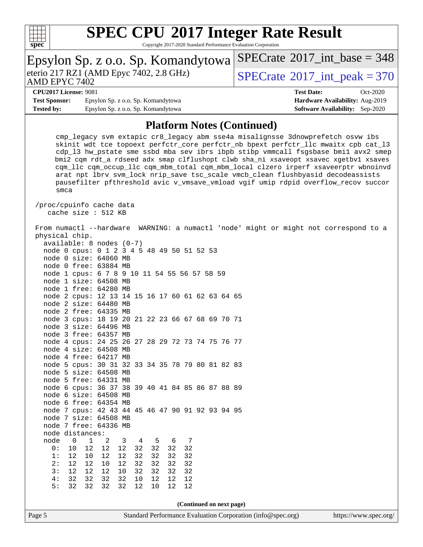

| Epsylon Sp. z o.o. Sp. Komandytowa                                                                                                                                                                                                                                                                                                                                                                                                                                                                                                                                                                                                                                                                                                                                                                                                                                                                                                                                                                                                                                                                                                                                                                                                                                                                                                                  | $SPECrate^{\circ}2017\_int\_base = 348$     |  |
|-----------------------------------------------------------------------------------------------------------------------------------------------------------------------------------------------------------------------------------------------------------------------------------------------------------------------------------------------------------------------------------------------------------------------------------------------------------------------------------------------------------------------------------------------------------------------------------------------------------------------------------------------------------------------------------------------------------------------------------------------------------------------------------------------------------------------------------------------------------------------------------------------------------------------------------------------------------------------------------------------------------------------------------------------------------------------------------------------------------------------------------------------------------------------------------------------------------------------------------------------------------------------------------------------------------------------------------------------------|---------------------------------------------|--|
| eterio 217 RZ1 (AMD Epyc 7402, 2.8 GHz)<br>AMD EPYC 7402                                                                                                                                                                                                                                                                                                                                                                                                                                                                                                                                                                                                                                                                                                                                                                                                                                                                                                                                                                                                                                                                                                                                                                                                                                                                                            | $SPECrate$ <sup>®</sup> 2017_int_peak = 370 |  |
| <b>CPU2017 License: 9081</b>                                                                                                                                                                                                                                                                                                                                                                                                                                                                                                                                                                                                                                                                                                                                                                                                                                                                                                                                                                                                                                                                                                                                                                                                                                                                                                                        | <b>Test Date:</b><br>Oct-2020               |  |
| <b>Test Sponsor:</b><br>Epsylon Sp. z o.o. Sp. Komandytowa                                                                                                                                                                                                                                                                                                                                                                                                                                                                                                                                                                                                                                                                                                                                                                                                                                                                                                                                                                                                                                                                                                                                                                                                                                                                                          | Hardware Availability: Aug-2019             |  |
| <b>Tested by:</b><br>Epsylon Sp. z o.o. Sp. Komandytowa                                                                                                                                                                                                                                                                                                                                                                                                                                                                                                                                                                                                                                                                                                                                                                                                                                                                                                                                                                                                                                                                                                                                                                                                                                                                                             | <b>Software Availability:</b> Sep-2020      |  |
| <b>Platform Notes (Continued)</b>                                                                                                                                                                                                                                                                                                                                                                                                                                                                                                                                                                                                                                                                                                                                                                                                                                                                                                                                                                                                                                                                                                                                                                                                                                                                                                                   |                                             |  |
| cmp_legacy svm extapic cr8_legacy abm sse4a misalignsse 3dnowprefetch osvw ibs<br>skinit wdt tce topoext perfctr_core perfctr_nb bpext perfctr_llc mwaitx cpb cat_l3<br>cdp_13 hw_pstate sme ssbd mba sev ibrs ibpb stibp vmmcall fsgsbase bmil avx2 smep<br>bmi2 cqm rdt_a rdseed adx smap clflushopt clwb sha_ni xsaveopt xsavec xgetbvl xsaves<br>cqm_llc cqm_occup_llc cqm_mbm_total cqm_mbm_local clzero irperf xsaveerptr wbnoinvd<br>arat npt lbrv svm_lock nrip_save tsc_scale vmcb_clean flushbyasid decodeassists<br>pausefilter pfthreshold avic v_vmsave_vmload vgif umip rdpid overflow_recov succor<br>smca                                                                                                                                                                                                                                                                                                                                                                                                                                                                                                                                                                                                                                                                                                                           |                                             |  |
| /proc/cpuinfo cache data<br>cache size : 512 KB                                                                                                                                                                                                                                                                                                                                                                                                                                                                                                                                                                                                                                                                                                                                                                                                                                                                                                                                                                                                                                                                                                                                                                                                                                                                                                     |                                             |  |
| From numactl --hardware WARNING: a numactl 'node' might or might not correspond to a<br>physical chip.<br>$available: 8 nodes (0-7)$<br>node 0 cpus: 0 1 2 3 4 5 48 49 50 51 52 53<br>node 0 size: 64060 MB<br>node 0 free: 63884 MB<br>node 1 cpus: 6 7 8 9 10 11 54 55 56 57 58 59<br>node 1 size: 64508 MB<br>node 1 free: 64280 MB<br>node 2 cpus: 12 13 14 15 16 17 60 61 62 63 64 65<br>node 2 size: 64480 MB<br>node 2 free: 64335 MB<br>node 3 cpus: 18 19 20 21 22 23 66 67 68 69 70 71<br>node 3 size: 64496 MB<br>node 3 free: 64357 MB<br>node 4 cpus: 24 25 26 27 28 29 72 73 74 75 76 77<br>node 4 size: 64508 MB<br>node 4 free: 64217 MB<br>node 5 cpus: 30 31 32 33 34 35 78 79 80 81 82 83<br>node 5 size: 64508 MB<br>node 5 free: 64331 MB<br>node 6 cpus: 36 37 38 39 40 41 84 85 86 87 88 89<br>node 6 size: 64508 MB<br>node 6 free: 64354 MB<br>node 7 cpus: 42 43 44 45 46 47 90 91 92 93 94 95<br>node 7 size: 64508 MB<br>node 7 free: 64336 MB<br>node distances:<br>$\mathbf 0$<br>$\mathbf{1}$<br>2<br>node<br>3<br>5<br>6<br>7<br>4<br>10<br>12<br>12<br>12<br>32<br>32<br>32<br>32<br>0 :<br>32<br>32<br>1:<br>12<br>10<br>12<br>12<br>32<br>32<br>32<br>32<br>2:<br>12<br>12<br>$10$<br>12<br>32<br>32<br>32<br>3:<br>12<br>12<br>12<br>10<br>32<br>32<br>32<br>4:<br>32<br>32<br>32<br>32<br>12<br>12<br>10<br>12 |                                             |  |
| 32<br>32<br>12<br>5:<br>32<br>32<br>12<br>10<br>12                                                                                                                                                                                                                                                                                                                                                                                                                                                                                                                                                                                                                                                                                                                                                                                                                                                                                                                                                                                                                                                                                                                                                                                                                                                                                                  |                                             |  |
| (Continued on next page)<br>Standard Performance Evaluation Corporation (info@spec.org)                                                                                                                                                                                                                                                                                                                                                                                                                                                                                                                                                                                                                                                                                                                                                                                                                                                                                                                                                                                                                                                                                                                                                                                                                                                             |                                             |  |
| Page 5                                                                                                                                                                                                                                                                                                                                                                                                                                                                                                                                                                                                                                                                                                                                                                                                                                                                                                                                                                                                                                                                                                                                                                                                                                                                                                                                              | https://www.spec.org/                       |  |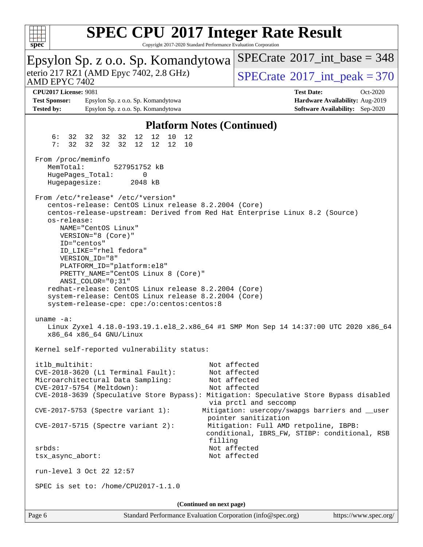

| Epsylon Sp. z o.o. Sp. Komandytowa                                                                                                                                                                                                                                                                                                                                                                                                                                                                                                                                                                                                                                                               | $SPECrate^{\circ}2017\_int\_base = 348$                                                                                                                                                                                                                    |  |  |  |  |
|--------------------------------------------------------------------------------------------------------------------------------------------------------------------------------------------------------------------------------------------------------------------------------------------------------------------------------------------------------------------------------------------------------------------------------------------------------------------------------------------------------------------------------------------------------------------------------------------------------------------------------------------------------------------------------------------------|------------------------------------------------------------------------------------------------------------------------------------------------------------------------------------------------------------------------------------------------------------|--|--|--|--|
| eterio 217 RZ1 (AMD Epyc 7402, 2.8 GHz)<br>AMD EPYC 7402                                                                                                                                                                                                                                                                                                                                                                                                                                                                                                                                                                                                                                         | $SPECTate$ <sup>®</sup> 2017_int_peak = 370                                                                                                                                                                                                                |  |  |  |  |
| <b>CPU2017 License: 9081</b>                                                                                                                                                                                                                                                                                                                                                                                                                                                                                                                                                                                                                                                                     | <b>Test Date:</b><br>Oct-2020                                                                                                                                                                                                                              |  |  |  |  |
| <b>Test Sponsor:</b><br>Epsylon Sp. z o.o. Sp. Komandytowa                                                                                                                                                                                                                                                                                                                                                                                                                                                                                                                                                                                                                                       | Hardware Availability: Aug-2019                                                                                                                                                                                                                            |  |  |  |  |
| <b>Tested by:</b><br>Epsylon Sp. z o.o. Sp. Komandytowa                                                                                                                                                                                                                                                                                                                                                                                                                                                                                                                                                                                                                                          | <b>Software Availability:</b> Sep-2020                                                                                                                                                                                                                     |  |  |  |  |
|                                                                                                                                                                                                                                                                                                                                                                                                                                                                                                                                                                                                                                                                                                  |                                                                                                                                                                                                                                                            |  |  |  |  |
| <b>Platform Notes (Continued)</b>                                                                                                                                                                                                                                                                                                                                                                                                                                                                                                                                                                                                                                                                |                                                                                                                                                                                                                                                            |  |  |  |  |
| 12<br>12<br>10<br>6 :<br>32 32 32 32<br>12<br>32 32 32<br>12<br>12<br>7:<br>32<br>12<br>10                                                                                                                                                                                                                                                                                                                                                                                                                                                                                                                                                                                                       |                                                                                                                                                                                                                                                            |  |  |  |  |
| From /proc/meminfo<br>MemTotal:<br>527951752 kB<br>HugePages_Total:<br>0<br>Hugepagesize:<br>2048 kB                                                                                                                                                                                                                                                                                                                                                                                                                                                                                                                                                                                             |                                                                                                                                                                                                                                                            |  |  |  |  |
| From /etc/*release* /etc/*version*<br>centos-release: CentOS Linux release 8.2.2004 (Core)<br>centos-release-upstream: Derived from Red Hat Enterprise Linux 8.2 (Source)<br>os-release:<br>NAME="CentOS Linux"<br>VERSION="8 (Core)"<br>ID="centos"<br>ID_LIKE="rhel fedora"<br>VERSION_ID="8"<br>PLATFORM_ID="platform:el8"<br>PRETTY_NAME="CentOS Linux 8 (Core)"<br>$ANSI$ _COLOR=" $0:31$ "<br>redhat-release: CentOS Linux release 8.2.2004 (Core)<br>system-release: CentOS Linux release 8.2.2004 (Core)<br>system-release-cpe: cpe:/o:centos:centos:8<br>uname $-a$ :<br>Linux Zyxel 4.18.0-193.19.1.el8_2.x86_64 #1 SMP Mon Sep 14 14:37:00 UTC 2020 x86_64<br>x86_64 x86_64 GNU/Linux |                                                                                                                                                                                                                                                            |  |  |  |  |
| Kernel self-reported vulnerability status:                                                                                                                                                                                                                                                                                                                                                                                                                                                                                                                                                                                                                                                       |                                                                                                                                                                                                                                                            |  |  |  |  |
| itlb_multihit:<br>CVE-2018-3620 (L1 Terminal Fault):<br>Microarchitectural Data Sampling:<br>CVE-2017-5754 (Meltdown):<br>CVE-2018-3639 (Speculative Store Bypass): Mitigation: Speculative Store Bypass disabled<br>CVE-2017-5753 (Spectre variant 1):<br>$CVE-2017-5715$ (Spectre variant 2):<br>filling                                                                                                                                                                                                                                                                                                                                                                                       | Not affected<br>Not affected<br>Not affected<br>Not affected<br>via prctl and seccomp<br>Mitigation: usercopy/swapgs barriers and __user<br>pointer sanitization<br>Mitigation: Full AMD retpoline, IBPB:<br>conditional, IBRS_FW, STIBP: conditional, RSB |  |  |  |  |
| srbds:                                                                                                                                                                                                                                                                                                                                                                                                                                                                                                                                                                                                                                                                                           | Not affected                                                                                                                                                                                                                                               |  |  |  |  |
| tsx_async_abort:<br>run-level 3 Oct 22 12:57                                                                                                                                                                                                                                                                                                                                                                                                                                                                                                                                                                                                                                                     | Not affected                                                                                                                                                                                                                                               |  |  |  |  |
| SPEC is set to: /home/CPU2017-1.1.0                                                                                                                                                                                                                                                                                                                                                                                                                                                                                                                                                                                                                                                              |                                                                                                                                                                                                                                                            |  |  |  |  |
|                                                                                                                                                                                                                                                                                                                                                                                                                                                                                                                                                                                                                                                                                                  |                                                                                                                                                                                                                                                            |  |  |  |  |
| (Continued on next page)                                                                                                                                                                                                                                                                                                                                                                                                                                                                                                                                                                                                                                                                         |                                                                                                                                                                                                                                                            |  |  |  |  |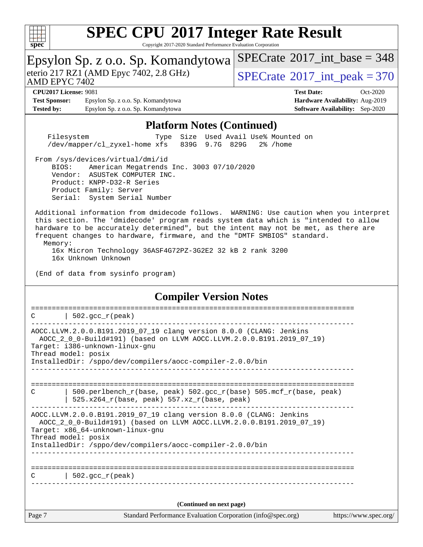

| spec<br>Copyright 2017-2020 Diamatu I Chomiance Evaluation Corporatio                                                                                                                                                                                                                                                                                                                                                  |                                                                                                            |  |  |
|------------------------------------------------------------------------------------------------------------------------------------------------------------------------------------------------------------------------------------------------------------------------------------------------------------------------------------------------------------------------------------------------------------------------|------------------------------------------------------------------------------------------------------------|--|--|
| Epsylon Sp. z o.o. Sp. Komandytowa                                                                                                                                                                                                                                                                                                                                                                                     | $SPECTate@2017_int\_base = 348$                                                                            |  |  |
| eterio 217 RZ1 (AMD Epyc 7402, 2.8 GHz)<br>AMD EPYC 7402                                                                                                                                                                                                                                                                                                                                                               | $SPECrate$ <sup>®</sup> 2017_int_peak = 370                                                                |  |  |
| <b>CPU2017 License: 9081</b><br><b>Test Sponsor:</b><br>Epsylon Sp. z o.o. Sp. Komandytowa<br><b>Tested by:</b><br>Epsylon Sp. z o.o. Sp. Komandytowa                                                                                                                                                                                                                                                                  | <b>Test Date:</b><br>Oct-2020<br>Hardware Availability: Aug-2019<br><b>Software Availability:</b> Sep-2020 |  |  |
| <b>Platform Notes (Continued)</b>                                                                                                                                                                                                                                                                                                                                                                                      |                                                                                                            |  |  |
| Filesystem<br>/dev/mapper/cl_zyxel-home xfs<br>839G 9.7G 829G                                                                                                                                                                                                                                                                                                                                                          | Type Size Used Avail Use% Mounted on<br>2% /home                                                           |  |  |
| From /sys/devices/virtual/dmi/id<br>BIOS:<br>American Megatrends Inc. 3003 07/10/2020<br>Vendor: ASUSTeK COMPUTER INC.<br>Product: KNPP-D32-R Series<br>Product Family: Server<br>Serial: System Serial Number                                                                                                                                                                                                         |                                                                                                            |  |  |
| Additional information from dmidecode follows. WARNING: Use caution when you interpret<br>this section. The 'dmidecode' program reads system data which is "intended to allow<br>hardware to be accurately determined", but the intent may not be met, as there are<br>frequent changes to hardware, firmware, and the "DMTF SMBIOS" standard.<br>Memory:<br>16x Micron Technology 36ASF4G72PZ-3G2E2 32 kB 2 rank 3200 |                                                                                                            |  |  |
| 16x Unknown Unknown                                                                                                                                                                                                                                                                                                                                                                                                    |                                                                                                            |  |  |
| (End of data from sysinfo program)                                                                                                                                                                                                                                                                                                                                                                                     |                                                                                                            |  |  |
| <b>Compiler Version Notes</b>                                                                                                                                                                                                                                                                                                                                                                                          |                                                                                                            |  |  |
| $502.$ gcc_r(peak)                                                                                                                                                                                                                                                                                                                                                                                                     |                                                                                                            |  |  |
| AOCC.LLVM.2.0.0.B191.2019_07_19 clang version 8.0.0 (CLANG: Jenkins<br>AOCC_2_0_0-Build#191) (based on LLVM AOCC.LLVM.2.0.0.B191.2019_07_19)<br>Target: i386-unknown-linux-gnu<br>Thread model: posix<br>InstalledDir: /sppo/dev/compilers/aocc-compiler-2.0.0/bin                                                                                                                                                     |                                                                                                            |  |  |
| ====================================<br>500.perlbench_r(base, peak) 502.gcc_r(base) 505.mcf_r(base, peak)<br>С<br>525.x264_r(base, peak) 557.xz_r(base, peak)                                                                                                                                                                                                                                                          |                                                                                                            |  |  |
| AOCC.LLVM.2.0.0.B191.2019_07_19 clang version 8.0.0 (CLANG: Jenkins<br>AOCC_2_0_0-Build#191) (based on LLVM AOCC.LLVM.2.0.0.B191.2019_07_19)<br>Target: x86_64-unknown-linux-gnu<br>Thread model: posix<br>InstalledDir: /sppo/dev/compilers/aocc-compiler-2.0.0/bin                                                                                                                                                   |                                                                                                            |  |  |
|                                                                                                                                                                                                                                                                                                                                                                                                                        |                                                                                                            |  |  |
| 502.gcc_r(peak)<br>C                                                                                                                                                                                                                                                                                                                                                                                                   |                                                                                                            |  |  |
| (Continued on next page)                                                                                                                                                                                                                                                                                                                                                                                               |                                                                                                            |  |  |
| Standard Performance Evaluation Corporation (info@spec.org)<br>Page 7                                                                                                                                                                                                                                                                                                                                                  | https://www.spec.org/                                                                                      |  |  |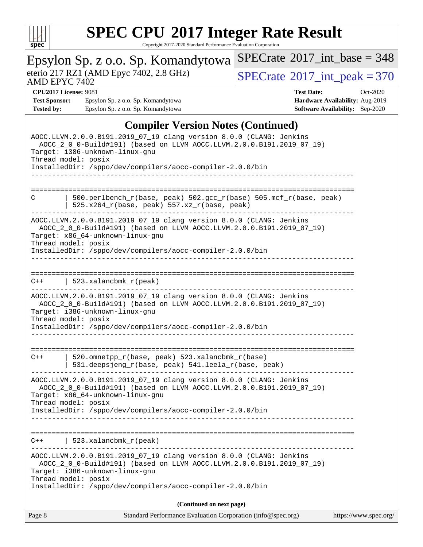

|                                                                                                                                                                                                                                                                    | Epsylon Sp. z o.o. Sp. Komandytowa                                                                                                                                                                                                            | $SPECTate$ <sup>®</sup> 2017_int_base = 348 |                                        |  |
|--------------------------------------------------------------------------------------------------------------------------------------------------------------------------------------------------------------------------------------------------------------------|-----------------------------------------------------------------------------------------------------------------------------------------------------------------------------------------------------------------------------------------------|---------------------------------------------|----------------------------------------|--|
| AMD EPYC 7402                                                                                                                                                                                                                                                      | eterio 217 RZ1 (AMD Epyc 7402, 2.8 GHz)                                                                                                                                                                                                       | $SPECTate$ <sup>®</sup> 2017_int_peak = 370 |                                        |  |
| <b>CPU2017 License: 9081</b>                                                                                                                                                                                                                                       |                                                                                                                                                                                                                                               | <b>Test Date:</b>                           | Oct-2020                               |  |
| <b>Test Sponsor:</b>                                                                                                                                                                                                                                               | Epsylon Sp. z o.o. Sp. Komandytowa                                                                                                                                                                                                            |                                             | Hardware Availability: Aug-2019        |  |
| <b>Tested by:</b>                                                                                                                                                                                                                                                  | Epsylon Sp. z o.o. Sp. Komandytowa                                                                                                                                                                                                            |                                             | <b>Software Availability:</b> Sep-2020 |  |
|                                                                                                                                                                                                                                                                    | <b>Compiler Version Notes (Continued)</b>                                                                                                                                                                                                     |                                             |                                        |  |
| AOCC.LLVM.2.0.0.B191.2019_07_19 clang version 8.0.0 (CLANG: Jenkins<br>AOCC_2_0_0-Build#191) (based on LLVM AOCC.LLVM.2.0.0.B191.2019_07_19)<br>Target: i386-unknown-linux-gnu<br>Thread model: posix<br>InstalledDir: /sppo/dev/compilers/aocc-compiler-2.0.0/bin |                                                                                                                                                                                                                                               |                                             |                                        |  |
| C                                                                                                                                                                                                                                                                  | 500.perlbench_r(base, peak) 502.gcc_r(base) 505.mcf_r(base, peak)<br>$525.x264_r(base, peak) 557.xz_r(base, peak)$                                                                                                                            |                                             |                                        |  |
| Thread model: posix                                                                                                                                                                                                                                                | AOCC.LLVM.2.0.0.B191.2019_07_19 clang version 8.0.0 (CLANG: Jenkins<br>AOCC_2_0_0-Build#191) (based on LLVM AOCC.LLVM.2.0.0.B191.2019_07_19)<br>Target: x86_64-unknown-linux-gnu<br>InstalledDir: /sppo/dev/compilers/aocc-compiler-2.0.0/bin |                                             |                                        |  |
| $523. x$ alancbmk $r$ (peak)<br>$C++$                                                                                                                                                                                                                              |                                                                                                                                                                                                                                               |                                             |                                        |  |
| Thread model: posix                                                                                                                                                                                                                                                | AOCC.LLVM.2.0.0.B191.2019_07_19 clang version 8.0.0 (CLANG: Jenkins<br>AOCC_2_0_0-Build#191) (based on LLVM AOCC.LLVM.2.0.0.B191.2019_07_19)<br>Target: i386-unknown-linux-gnu<br>InstalledDir: /sppo/dev/compilers/aocc-compiler-2.0.0/bin   |                                             |                                        |  |
| $C++$                                                                                                                                                                                                                                                              | 520.omnetpp_r(base, peak) 523.xalancbmk_r(base)<br>531.deepsjeng_r(base, peak) 541.leela_r(base, peak)                                                                                                                                        | ====================================        |                                        |  |
| Thread model: posix                                                                                                                                                                                                                                                | AOCC.LLVM.2.0.0.B191.2019_07_19 clang version 8.0.0 (CLANG: Jenkins<br>AOCC_2_0_0-Build#191) (based on LLVM AOCC.LLVM.2.0.0.B191.2019_07_19)<br>Target: x86 64-unknown-linux-gnu<br>InstalledDir: /sppo/dev/compilers/aocc-compiler-2.0.0/bin |                                             |                                        |  |
| $C++$                                                                                                                                                                                                                                                              | $523. x$ alancbmk $r$ (peak)                                                                                                                                                                                                                  |                                             |                                        |  |
| Thread model: posix                                                                                                                                                                                                                                                | AOCC.LLVM.2.0.0.B191.2019_07_19 clang version 8.0.0 (CLANG: Jenkins<br>AOCC_2_0_0-Build#191) (based on LLVM AOCC.LLVM.2.0.0.B191.2019_07_19)<br>Target: i386-unknown-linux-gnu                                                                |                                             |                                        |  |
| InstalledDir: /sppo/dev/compilers/aocc-compiler-2.0.0/bin                                                                                                                                                                                                          |                                                                                                                                                                                                                                               |                                             |                                        |  |
|                                                                                                                                                                                                                                                                    | (Continued on next page)                                                                                                                                                                                                                      |                                             |                                        |  |
| Page 8                                                                                                                                                                                                                                                             | Standard Performance Evaluation Corporation (info@spec.org)                                                                                                                                                                                   |                                             | https://www.spec.org/                  |  |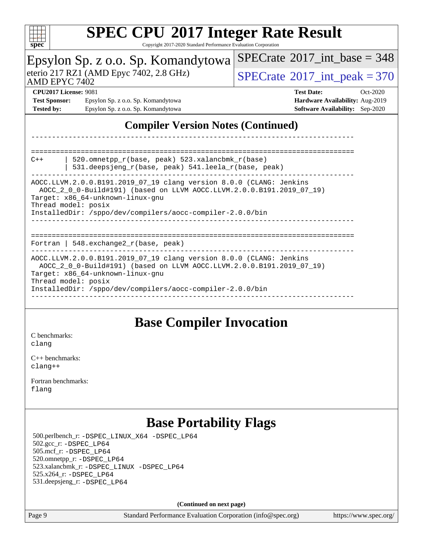

Copyright 2017-2020 Standard Performance Evaluation Corporation

| spec<br>Copyright 2017-2020 Standard I Criormance Evaluation Corporation                                                                                                                                |                                                                                                                                                                                  |                                                                                                              |  |  |
|---------------------------------------------------------------------------------------------------------------------------------------------------------------------------------------------------------|----------------------------------------------------------------------------------------------------------------------------------------------------------------------------------|--------------------------------------------------------------------------------------------------------------|--|--|
| Epsylon Sp. z o.o. Sp. Komandytowa<br>eterio 217 RZ1 (AMD Epyc 7402, 2.8 GHz)<br>AMD EPYC 7402                                                                                                          |                                                                                                                                                                                  | $SPECrate^{\circledast}2017$ int base = 348                                                                  |  |  |
|                                                                                                                                                                                                         |                                                                                                                                                                                  | $SPECrate^{\circ}2017\_int\_peak = 370$                                                                      |  |  |
| <b>Test Sponsor:</b><br><b>Tested by:</b>                                                                                                                                                               | <b>CPU2017 License: 9081</b><br>Epsylon Sp. z o.o. Sp. Komandytowa<br>Epsylon Sp. z o.o. Sp. Komandytowa                                                                         | <b>Test Date:</b><br>$Oct-2020$<br>Hardware Availability: Aug-2019<br><b>Software Availability:</b> Sep-2020 |  |  |
| <b>Compiler Version Notes (Continued)</b>                                                                                                                                                               |                                                                                                                                                                                  |                                                                                                              |  |  |
|                                                                                                                                                                                                         |                                                                                                                                                                                  |                                                                                                              |  |  |
| 520.omnetpp_r(base, peak) 523.xalancbmk_r(base)<br>$C++$<br>531.deepsjeng_r(base, peak) 541.leela_r(base, peak)                                                                                         |                                                                                                                                                                                  |                                                                                                              |  |  |
| AOCC.LLVM.2.0.0.B191.2019_07_19 clang version 8.0.0 (CLANG: Jenkins<br>AOCC_2_0_0-Build#191) (based on LLVM AOCC.LLVM.2.0.0.B191.2019_07_19)<br>Target: x86_64-unknown-linux-gnu<br>Thread model: posix |                                                                                                                                                                                  |                                                                                                              |  |  |
| InstalledDir: /sppo/dev/compilers/aocc-compiler-2.0.0/bin                                                                                                                                               |                                                                                                                                                                                  |                                                                                                              |  |  |
|                                                                                                                                                                                                         | Fortran   548. $exchange2 r(base, peak)$                                                                                                                                         | ------------------------------------                                                                         |  |  |
|                                                                                                                                                                                                         | AOCC.LLVM.2.0.0.B191.2019_07_19 clang version 8.0.0 (CLANG: Jenkins<br>AOCC_2_0_0-Build#191) (based on LLVM AOCC.LLVM.2.0.0.B191.2019_07_19)<br>Target: x86_64-unknown-linux-gnu |                                                                                                              |  |  |
|                                                                                                                                                                                                         | Thread model: posix<br>InstalledDir: /sppo/dev/compilers/aocc-compiler-2.0.0/bin                                                                                                 |                                                                                                              |  |  |
|                                                                                                                                                                                                         |                                                                                                                                                                                  |                                                                                                              |  |  |

#### **[Base Compiler Invocation](http://www.spec.org/auto/cpu2017/Docs/result-fields.html#BaseCompilerInvocation)**

[C benchmarks](http://www.spec.org/auto/cpu2017/Docs/result-fields.html#Cbenchmarks): [clang](http://www.spec.org/cpu2017/results/res2020q4/cpu2017-20201026-24253.flags.html#user_CCbase_clang-c)

[C++ benchmarks:](http://www.spec.org/auto/cpu2017/Docs/result-fields.html#CXXbenchmarks) [clang++](http://www.spec.org/cpu2017/results/res2020q4/cpu2017-20201026-24253.flags.html#user_CXXbase_clang-cpp)

[Fortran benchmarks](http://www.spec.org/auto/cpu2017/Docs/result-fields.html#Fortranbenchmarks): [flang](http://www.spec.org/cpu2017/results/res2020q4/cpu2017-20201026-24253.flags.html#user_FCbase_flang)

### **[Base Portability Flags](http://www.spec.org/auto/cpu2017/Docs/result-fields.html#BasePortabilityFlags)**

 500.perlbench\_r: [-DSPEC\\_LINUX\\_X64](http://www.spec.org/cpu2017/results/res2020q4/cpu2017-20201026-24253.flags.html#b500.perlbench_r_basePORTABILITY_DSPEC_LINUX_X64) [-DSPEC\\_LP64](http://www.spec.org/cpu2017/results/res2020q4/cpu2017-20201026-24253.flags.html#b500.perlbench_r_baseEXTRA_PORTABILITY_DSPEC_LP64) 502.gcc\_r: [-DSPEC\\_LP64](http://www.spec.org/cpu2017/results/res2020q4/cpu2017-20201026-24253.flags.html#suite_baseEXTRA_PORTABILITY502_gcc_r_DSPEC_LP64) 505.mcf\_r: [-DSPEC\\_LP64](http://www.spec.org/cpu2017/results/res2020q4/cpu2017-20201026-24253.flags.html#suite_baseEXTRA_PORTABILITY505_mcf_r_DSPEC_LP64) 520.omnetpp\_r: [-DSPEC\\_LP64](http://www.spec.org/cpu2017/results/res2020q4/cpu2017-20201026-24253.flags.html#suite_baseEXTRA_PORTABILITY520_omnetpp_r_DSPEC_LP64) 523.xalancbmk\_r: [-DSPEC\\_LINUX](http://www.spec.org/cpu2017/results/res2020q4/cpu2017-20201026-24253.flags.html#b523.xalancbmk_r_basePORTABILITY_DSPEC_LINUX) [-DSPEC\\_LP64](http://www.spec.org/cpu2017/results/res2020q4/cpu2017-20201026-24253.flags.html#suite_baseEXTRA_PORTABILITY523_xalancbmk_r_DSPEC_LP64) 525.x264\_r: [-DSPEC\\_LP64](http://www.spec.org/cpu2017/results/res2020q4/cpu2017-20201026-24253.flags.html#suite_baseEXTRA_PORTABILITY525_x264_r_DSPEC_LP64) 531.deepsjeng\_r: [-DSPEC\\_LP64](http://www.spec.org/cpu2017/results/res2020q4/cpu2017-20201026-24253.flags.html#suite_baseEXTRA_PORTABILITY531_deepsjeng_r_DSPEC_LP64)

**(Continued on next page)**

Page 9 Standard Performance Evaluation Corporation [\(info@spec.org\)](mailto:info@spec.org) <https://www.spec.org/>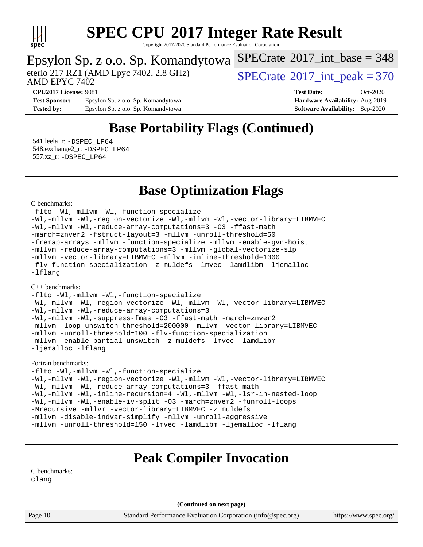

Copyright 2017-2020 Standard Performance Evaluation Corporation

# Epsylon Sp. z o.o. Sp. Komandytowa<br>eterio 217 RZ1 (AMD Epyc 7402, 2.8 GHz)

AMD EPYC 7402

 $SPECTate$ <sup>®</sup>[2017\\_int\\_peak = 3](http://www.spec.org/auto/cpu2017/Docs/result-fields.html#SPECrate2017intpeak)70

 $SPECTate$ <sup>®</sup>[2017\\_int\\_base =](http://www.spec.org/auto/cpu2017/Docs/result-fields.html#SPECrate2017intbase) 348

**[Test Sponsor:](http://www.spec.org/auto/cpu2017/Docs/result-fields.html#TestSponsor)** Epsylon Sp. z o.o. Sp. Komandytowa **[Hardware Availability:](http://www.spec.org/auto/cpu2017/Docs/result-fields.html#HardwareAvailability)** Aug-2019 **[Tested by:](http://www.spec.org/auto/cpu2017/Docs/result-fields.html#Testedby)** Epsylon Sp. z o.o. Sp. Komandytowa **[Software Availability:](http://www.spec.org/auto/cpu2017/Docs/result-fields.html#SoftwareAvailability)** Sep-2020

**[CPU2017 License:](http://www.spec.org/auto/cpu2017/Docs/result-fields.html#CPU2017License)** 9081 **[Test Date:](http://www.spec.org/auto/cpu2017/Docs/result-fields.html#TestDate)** Oct-2020

### **[Base Portability Flags \(Continued\)](http://www.spec.org/auto/cpu2017/Docs/result-fields.html#BasePortabilityFlags)**

 541.leela\_r: [-DSPEC\\_LP64](http://www.spec.org/cpu2017/results/res2020q4/cpu2017-20201026-24253.flags.html#suite_baseEXTRA_PORTABILITY541_leela_r_DSPEC_LP64) 548.exchange2\_r: [-DSPEC\\_LP64](http://www.spec.org/cpu2017/results/res2020q4/cpu2017-20201026-24253.flags.html#suite_baseEXTRA_PORTABILITY548_exchange2_r_DSPEC_LP64) 557.xz\_r: [-DSPEC\\_LP64](http://www.spec.org/cpu2017/results/res2020q4/cpu2017-20201026-24253.flags.html#suite_baseEXTRA_PORTABILITY557_xz_r_DSPEC_LP64)

#### **[Base Optimization Flags](http://www.spec.org/auto/cpu2017/Docs/result-fields.html#BaseOptimizationFlags)**

#### [C benchmarks](http://www.spec.org/auto/cpu2017/Docs/result-fields.html#Cbenchmarks):

[-flto](http://www.spec.org/cpu2017/results/res2020q4/cpu2017-20201026-24253.flags.html#user_CCbase_aocc-flto) [-Wl,-mllvm -Wl,-function-specialize](http://www.spec.org/cpu2017/results/res2020q4/cpu2017-20201026-24253.flags.html#user_CCbase_F-function-specialize_7e7e661e57922243ee67c9a1251cb8910e607325179a0ce7f2884e09a6f5d4a5ef0ae4f37e8a2a11c95fc48e931f06dc2b6016f14b511fcb441e048bef1b065a) [-Wl,-mllvm -Wl,-region-vectorize](http://www.spec.org/cpu2017/results/res2020q4/cpu2017-20201026-24253.flags.html#user_CCbase_F-region-vectorize_fb6c6b5aa293c88efc6c7c2b52b20755e943585b1fe8658c35afef78727fff56e1a56891413c30e36b8e2a6f9a71126986319243e80eb6110b78b288f533c52b) [-Wl,-mllvm -Wl,-vector-library=LIBMVEC](http://www.spec.org/cpu2017/results/res2020q4/cpu2017-20201026-24253.flags.html#user_CCbase_F-use-vector-library_0a14b27fae317f283640384a31f7bfcc2bd4c1d0b5cfc618a3a430800c9b20217b00f61303eff223a3251b4f06ffbc9739dc5296db9d1fbb9ad24a3939d86d66) [-Wl,-mllvm -Wl,-reduce-array-computations=3](http://www.spec.org/cpu2017/results/res2020q4/cpu2017-20201026-24253.flags.html#user_CCbase_F-reduce-array-computations_b882aefe7a5dda4e33149f6299762b9a720dace3e498e13756f4c04e5a19edf5315c1f3993de2e61ec41e8c206231f84e05da7040e1bb5d69ba27d10a12507e4) [-O3](http://www.spec.org/cpu2017/results/res2020q4/cpu2017-20201026-24253.flags.html#user_CCbase_F-O3) [-ffast-math](http://www.spec.org/cpu2017/results/res2020q4/cpu2017-20201026-24253.flags.html#user_CCbase_aocc-ffast-math) [-march=znver2](http://www.spec.org/cpu2017/results/res2020q4/cpu2017-20201026-24253.flags.html#user_CCbase_aocc-march_3e2e19cff2eeef60c5d90b059483627c9ea47eca6d66670dbd53f9185f6439e27eb5e104cf773e9e8ab18c8842ce63e461a3e948d0214bd567ef3ade411bf467) [-fstruct-layout=3](http://www.spec.org/cpu2017/results/res2020q4/cpu2017-20201026-24253.flags.html#user_CCbase_F-struct-layout) [-mllvm -unroll-threshold=50](http://www.spec.org/cpu2017/results/res2020q4/cpu2017-20201026-24253.flags.html#user_CCbase_F-unroll-threshold_458874500b2c105d6d5cb4d7a611c40e2b16e9e3d26b355fea72d644c3673b4de4b3932662f0ed3dbec75c491a13da2d2ca81180bd779dc531083ef1e1e549dc) [-fremap-arrays](http://www.spec.org/cpu2017/results/res2020q4/cpu2017-20201026-24253.flags.html#user_CCbase_F-fremap-arrays) [-mllvm -function-specialize](http://www.spec.org/cpu2017/results/res2020q4/cpu2017-20201026-24253.flags.html#user_CCbase_F-function-specialize_233b3bdba86027f1b094368157e481c5bc59f40286dc25bfadc1858dcd5745c24fd30d5f188710db7fea399bcc9f44a80b3ce3aacc70a8870250c3ae5e1f35b8) [-mllvm -enable-gvn-hoist](http://www.spec.org/cpu2017/results/res2020q4/cpu2017-20201026-24253.flags.html#user_CCbase_F-enable-gvn-hoist_e5856354646dd6ca1333a0ad99b817e4cf8932b91b82809fd8fd47ceff7b22a89eba5c98fd3e3fa5200368fd772cec3dd56abc3c8f7b655a71b9f9848dddedd5) [-mllvm -reduce-array-computations=3](http://www.spec.org/cpu2017/results/res2020q4/cpu2017-20201026-24253.flags.html#user_CCbase_F-reduce-array-computations_aceadb8604558b566e0e3a0d7a3c1533923dd1fa0889614e16288028922629a28d5695c24d3b3be4306b1e311c54317dfffe3a2e57fbcaabc737a1798de39145) [-mllvm -global-vectorize-slp](http://www.spec.org/cpu2017/results/res2020q4/cpu2017-20201026-24253.flags.html#user_CCbase_F-global-vectorize-slp_a3935e8627af4ced727033b1ffd4db27f4d541a363d28d82bf4c2925fb3a0fd4115d6e42d13a2829f9e024d6608eb67a85cb49770f2da5c5ac8dbc737afad603) [-mllvm -vector-library=LIBMVEC](http://www.spec.org/cpu2017/results/res2020q4/cpu2017-20201026-24253.flags.html#user_CCbase_F-use-vector-library_e584e20b4f7ec96aa109254b65d8e01d864f3d68580371b9d93ed7c338191d4cfce20c3c864632264effc6bbe4c7c38153d02096a342ee92501c4a53204a7871) [-mllvm -inline-threshold=1000](http://www.spec.org/cpu2017/results/res2020q4/cpu2017-20201026-24253.flags.html#user_CCbase_dragonegg-llvm-inline-threshold_b7832241b0a6397e4ecdbaf0eb7defdc10f885c2a282fa3240fdc99844d543fda39cf8a4a9dccf68cf19b5438ac3b455264f478df15da0f4988afa40d8243bab) [-flv-function-specialization](http://www.spec.org/cpu2017/results/res2020q4/cpu2017-20201026-24253.flags.html#user_CCbase_F-flv-function-specialization) [-z muldefs](http://www.spec.org/cpu2017/results/res2020q4/cpu2017-20201026-24253.flags.html#user_CCbase_aocc-muldefs) [-lmvec](http://www.spec.org/cpu2017/results/res2020q4/cpu2017-20201026-24253.flags.html#user_CCbase_F-lmvec) [-lamdlibm](http://www.spec.org/cpu2017/results/res2020q4/cpu2017-20201026-24253.flags.html#user_CCbase_F-lamdlibm) [-ljemalloc](http://www.spec.org/cpu2017/results/res2020q4/cpu2017-20201026-24253.flags.html#user_CCbase_jemalloc-lib) [-lflang](http://www.spec.org/cpu2017/results/res2020q4/cpu2017-20201026-24253.flags.html#user_CCbase_F-lflang)

#### [C++ benchmarks:](http://www.spec.org/auto/cpu2017/Docs/result-fields.html#CXXbenchmarks)

[-flto](http://www.spec.org/cpu2017/results/res2020q4/cpu2017-20201026-24253.flags.html#user_CXXbase_aocc-flto) [-Wl,-mllvm -Wl,-function-specialize](http://www.spec.org/cpu2017/results/res2020q4/cpu2017-20201026-24253.flags.html#user_CXXbase_F-function-specialize_7e7e661e57922243ee67c9a1251cb8910e607325179a0ce7f2884e09a6f5d4a5ef0ae4f37e8a2a11c95fc48e931f06dc2b6016f14b511fcb441e048bef1b065a) [-Wl,-mllvm -Wl,-region-vectorize](http://www.spec.org/cpu2017/results/res2020q4/cpu2017-20201026-24253.flags.html#user_CXXbase_F-region-vectorize_fb6c6b5aa293c88efc6c7c2b52b20755e943585b1fe8658c35afef78727fff56e1a56891413c30e36b8e2a6f9a71126986319243e80eb6110b78b288f533c52b) [-Wl,-mllvm -Wl,-vector-library=LIBMVEC](http://www.spec.org/cpu2017/results/res2020q4/cpu2017-20201026-24253.flags.html#user_CXXbase_F-use-vector-library_0a14b27fae317f283640384a31f7bfcc2bd4c1d0b5cfc618a3a430800c9b20217b00f61303eff223a3251b4f06ffbc9739dc5296db9d1fbb9ad24a3939d86d66) [-Wl,-mllvm -Wl,-reduce-array-computations=3](http://www.spec.org/cpu2017/results/res2020q4/cpu2017-20201026-24253.flags.html#user_CXXbase_F-reduce-array-computations_b882aefe7a5dda4e33149f6299762b9a720dace3e498e13756f4c04e5a19edf5315c1f3993de2e61ec41e8c206231f84e05da7040e1bb5d69ba27d10a12507e4) [-Wl,-mllvm -Wl,-suppress-fmas](http://www.spec.org/cpu2017/results/res2020q4/cpu2017-20201026-24253.flags.html#user_CXXbase_F-suppress-fmas_f00f00630e4a059e8af9c161e9bbf420bcf19890a7f99d5933525e66aa4b0bb3ab2339d2b12d97d3a5f5d271e839fe9c109938e91fe06230fb53651590cfa1e8) [-O3](http://www.spec.org/cpu2017/results/res2020q4/cpu2017-20201026-24253.flags.html#user_CXXbase_F-O3) [-ffast-math](http://www.spec.org/cpu2017/results/res2020q4/cpu2017-20201026-24253.flags.html#user_CXXbase_aocc-ffast-math) [-march=znver2](http://www.spec.org/cpu2017/results/res2020q4/cpu2017-20201026-24253.flags.html#user_CXXbase_aocc-march_3e2e19cff2eeef60c5d90b059483627c9ea47eca6d66670dbd53f9185f6439e27eb5e104cf773e9e8ab18c8842ce63e461a3e948d0214bd567ef3ade411bf467) [-mllvm -loop-unswitch-threshold=200000](http://www.spec.org/cpu2017/results/res2020q4/cpu2017-20201026-24253.flags.html#user_CXXbase_F-loop-unswitch-threshold_f9a82ae3270e55b5fbf79d0d96ee93606b73edbbe527d20b18b7bff1a3a146ad50cfc7454c5297978340ae9213029016a7d16221274d672d3f7f42ed25274e1d) [-mllvm -vector-library=LIBMVEC](http://www.spec.org/cpu2017/results/res2020q4/cpu2017-20201026-24253.flags.html#user_CXXbase_F-use-vector-library_e584e20b4f7ec96aa109254b65d8e01d864f3d68580371b9d93ed7c338191d4cfce20c3c864632264effc6bbe4c7c38153d02096a342ee92501c4a53204a7871) [-mllvm -unroll-threshold=100](http://www.spec.org/cpu2017/results/res2020q4/cpu2017-20201026-24253.flags.html#user_CXXbase_F-unroll-threshold_2755d0c78138845d361fa1543e3a063fffa198df9b3edf0cfb856bbc88a81e1769b12ac7a550c5d35197be55360db1a3f95a8d1304df999456cabf5120c45168) [-flv-function-specialization](http://www.spec.org/cpu2017/results/res2020q4/cpu2017-20201026-24253.flags.html#user_CXXbase_F-flv-function-specialization) [-mllvm -enable-partial-unswitch](http://www.spec.org/cpu2017/results/res2020q4/cpu2017-20201026-24253.flags.html#user_CXXbase_F-enable-partial-unswitch_6e1c33f981d77963b1eaf834973128a7f33ce3f8e27f54689656697a35e89dcc875281e0e6283d043e32f367dcb605ba0e307a92e830f7e326789fa6c61b35d3) [-z muldefs](http://www.spec.org/cpu2017/results/res2020q4/cpu2017-20201026-24253.flags.html#user_CXXbase_aocc-muldefs) [-lmvec](http://www.spec.org/cpu2017/results/res2020q4/cpu2017-20201026-24253.flags.html#user_CXXbase_F-lmvec) [-lamdlibm](http://www.spec.org/cpu2017/results/res2020q4/cpu2017-20201026-24253.flags.html#user_CXXbase_F-lamdlibm) [-ljemalloc](http://www.spec.org/cpu2017/results/res2020q4/cpu2017-20201026-24253.flags.html#user_CXXbase_jemalloc-lib) [-lflang](http://www.spec.org/cpu2017/results/res2020q4/cpu2017-20201026-24253.flags.html#user_CXXbase_F-lflang)

#### [Fortran benchmarks](http://www.spec.org/auto/cpu2017/Docs/result-fields.html#Fortranbenchmarks):

[-flto](http://www.spec.org/cpu2017/results/res2020q4/cpu2017-20201026-24253.flags.html#user_FCbase_aocc-flto) [-Wl,-mllvm -Wl,-function-specialize](http://www.spec.org/cpu2017/results/res2020q4/cpu2017-20201026-24253.flags.html#user_FCbase_F-function-specialize_7e7e661e57922243ee67c9a1251cb8910e607325179a0ce7f2884e09a6f5d4a5ef0ae4f37e8a2a11c95fc48e931f06dc2b6016f14b511fcb441e048bef1b065a) [-Wl,-mllvm -Wl,-region-vectorize](http://www.spec.org/cpu2017/results/res2020q4/cpu2017-20201026-24253.flags.html#user_FCbase_F-region-vectorize_fb6c6b5aa293c88efc6c7c2b52b20755e943585b1fe8658c35afef78727fff56e1a56891413c30e36b8e2a6f9a71126986319243e80eb6110b78b288f533c52b) [-Wl,-mllvm -Wl,-vector-library=LIBMVEC](http://www.spec.org/cpu2017/results/res2020q4/cpu2017-20201026-24253.flags.html#user_FCbase_F-use-vector-library_0a14b27fae317f283640384a31f7bfcc2bd4c1d0b5cfc618a3a430800c9b20217b00f61303eff223a3251b4f06ffbc9739dc5296db9d1fbb9ad24a3939d86d66) [-Wl,-mllvm -Wl,-reduce-array-computations=3](http://www.spec.org/cpu2017/results/res2020q4/cpu2017-20201026-24253.flags.html#user_FCbase_F-reduce-array-computations_b882aefe7a5dda4e33149f6299762b9a720dace3e498e13756f4c04e5a19edf5315c1f3993de2e61ec41e8c206231f84e05da7040e1bb5d69ba27d10a12507e4) [-ffast-math](http://www.spec.org/cpu2017/results/res2020q4/cpu2017-20201026-24253.flags.html#user_FCbase_aocc-ffast-math) [-Wl,-mllvm -Wl,-inline-recursion=4](http://www.spec.org/cpu2017/results/res2020q4/cpu2017-20201026-24253.flags.html#user_FCbase_F-inline-recursion) [-Wl,-mllvm -Wl,-lsr-in-nested-loop](http://www.spec.org/cpu2017/results/res2020q4/cpu2017-20201026-24253.flags.html#user_FCbase_F-lsr-in-nested-loop_de4bc7331d07d857538198a5cc9592bc905d78a18065d49b9acfd1f777ae9eca5716aaa3e0e674a48e2e5ec9dad184ee0c682635ad7eff4181b32ab748bf2f49) [-Wl,-mllvm -Wl,-enable-iv-split](http://www.spec.org/cpu2017/results/res2020q4/cpu2017-20201026-24253.flags.html#user_FCbase_F-enable-iv-split_efc18925ba63acc4bb74cb6e43d0987b7b3cf01924ad910e2a6edbbbd0f8b582e31f1ee7ccede3f08176ef2ad41c69507170fb32301bf478d45ceb38dfb89c5e) [-O3](http://www.spec.org/cpu2017/results/res2020q4/cpu2017-20201026-24253.flags.html#user_FCbase_F-O3) [-march=znver2](http://www.spec.org/cpu2017/results/res2020q4/cpu2017-20201026-24253.flags.html#user_FCbase_aocc-march_3e2e19cff2eeef60c5d90b059483627c9ea47eca6d66670dbd53f9185f6439e27eb5e104cf773e9e8ab18c8842ce63e461a3e948d0214bd567ef3ade411bf467) [-funroll-loops](http://www.spec.org/cpu2017/results/res2020q4/cpu2017-20201026-24253.flags.html#user_FCbase_aocc-unroll-loops) [-Mrecursive](http://www.spec.org/cpu2017/results/res2020q4/cpu2017-20201026-24253.flags.html#user_FCbase_F-mrecursive_20a145d63f12d5750a899e17d4450b5b8b40330a9bb4af13688ca650e6fb30857bbbe44fb35cdbb895df6e5b2769de0a0d7659f51ff17acfbef6febafec4023f) [-mllvm -vector-library=LIBMVEC](http://www.spec.org/cpu2017/results/res2020q4/cpu2017-20201026-24253.flags.html#user_FCbase_F-use-vector-library_e584e20b4f7ec96aa109254b65d8e01d864f3d68580371b9d93ed7c338191d4cfce20c3c864632264effc6bbe4c7c38153d02096a342ee92501c4a53204a7871) [-z muldefs](http://www.spec.org/cpu2017/results/res2020q4/cpu2017-20201026-24253.flags.html#user_FCbase_aocc-muldefs) [-mllvm -disable-indvar-simplify](http://www.spec.org/cpu2017/results/res2020q4/cpu2017-20201026-24253.flags.html#user_FCbase_F-disable-indvar-simplify_c8d861bf19eba5001219ab52ef051176e06bf3166017d5c1ce87aec66e795c6723d10bf23d5a91730d61ad4b3f566b39dd0a4d6e5b2af269ebae30428a1f3630) [-mllvm -unroll-aggressive](http://www.spec.org/cpu2017/results/res2020q4/cpu2017-20201026-24253.flags.html#user_FCbase_F-unroll-aggressive_a366db20af3fd871754361e6b05945ac700b8c3fc538cc6688c755ae5874c6da3d6f3bb6e8d93320d5094064830fdb2c06064831f0f08d916cd8f333e5dba6d9) [-mllvm -unroll-threshold=150](http://www.spec.org/cpu2017/results/res2020q4/cpu2017-20201026-24253.flags.html#user_FCbase_F-unroll-threshold_3352736ce55666ed13437f5f5fd6693920e68d4dfd26bba42492bb1c46b6d7692ff5ba7bd4d2ebdab48d140ca981a39154ff0664b4d322a66fc3d1aafa4d7ffe) [-lmvec](http://www.spec.org/cpu2017/results/res2020q4/cpu2017-20201026-24253.flags.html#user_FCbase_F-lmvec) [-lamdlibm](http://www.spec.org/cpu2017/results/res2020q4/cpu2017-20201026-24253.flags.html#user_FCbase_F-lamdlibm) [-ljemalloc](http://www.spec.org/cpu2017/results/res2020q4/cpu2017-20201026-24253.flags.html#user_FCbase_jemalloc-lib) [-lflang](http://www.spec.org/cpu2017/results/res2020q4/cpu2017-20201026-24253.flags.html#user_FCbase_F-lflang)

#### **[Peak Compiler Invocation](http://www.spec.org/auto/cpu2017/Docs/result-fields.html#PeakCompilerInvocation)**

[C benchmarks](http://www.spec.org/auto/cpu2017/Docs/result-fields.html#Cbenchmarks):

[clang](http://www.spec.org/cpu2017/results/res2020q4/cpu2017-20201026-24253.flags.html#user_CCpeak_clang-c)

**(Continued on next page)**

Page 10 Standard Performance Evaluation Corporation [\(info@spec.org\)](mailto:info@spec.org) <https://www.spec.org/>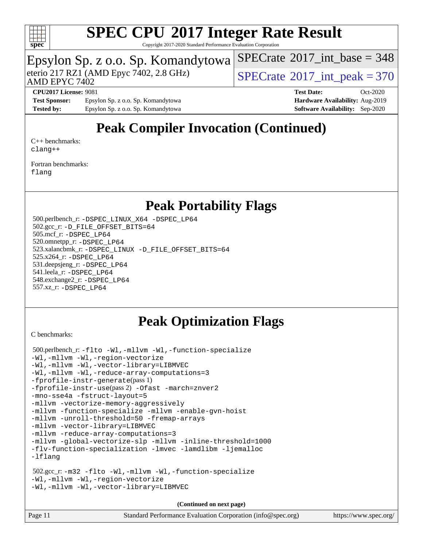

Copyright 2017-2020 Standard Performance Evaluation Corporation

#### Epsylon Sp. z o.o. Sp. Komandytowa

AMD EPYC 7402

eterio 217 RZ1 (AMD Epyc 7402, 2.8 GHz)  $SPECTate^{\circ}2017$ \_int\_peak = 370

 $SPECTate$ <sup>®</sup>[2017\\_int\\_base =](http://www.spec.org/auto/cpu2017/Docs/result-fields.html#SPECrate2017intbase) 348

**[Test Sponsor:](http://www.spec.org/auto/cpu2017/Docs/result-fields.html#TestSponsor)** Epsylon Sp. z o.o. Sp. Komandytowa **[Hardware Availability:](http://www.spec.org/auto/cpu2017/Docs/result-fields.html#HardwareAvailability)** Aug-2019 **[Tested by:](http://www.spec.org/auto/cpu2017/Docs/result-fields.html#Testedby)** Epsylon Sp. z o.o. Sp. Komandytowa **[Software Availability:](http://www.spec.org/auto/cpu2017/Docs/result-fields.html#SoftwareAvailability)** Sep-2020

**[CPU2017 License:](http://www.spec.org/auto/cpu2017/Docs/result-fields.html#CPU2017License)** 9081 **[Test Date:](http://www.spec.org/auto/cpu2017/Docs/result-fields.html#TestDate)** Oct-2020

## **[Peak Compiler Invocation \(Continued\)](http://www.spec.org/auto/cpu2017/Docs/result-fields.html#PeakCompilerInvocation)**

[C++ benchmarks:](http://www.spec.org/auto/cpu2017/Docs/result-fields.html#CXXbenchmarks) [clang++](http://www.spec.org/cpu2017/results/res2020q4/cpu2017-20201026-24253.flags.html#user_CXXpeak_clang-cpp)

[Fortran benchmarks](http://www.spec.org/auto/cpu2017/Docs/result-fields.html#Fortranbenchmarks): [flang](http://www.spec.org/cpu2017/results/res2020q4/cpu2017-20201026-24253.flags.html#user_FCpeak_flang)

#### **[Peak Portability Flags](http://www.spec.org/auto/cpu2017/Docs/result-fields.html#PeakPortabilityFlags)**

 500.perlbench\_r: [-DSPEC\\_LINUX\\_X64](http://www.spec.org/cpu2017/results/res2020q4/cpu2017-20201026-24253.flags.html#b500.perlbench_r_peakPORTABILITY_DSPEC_LINUX_X64) [-DSPEC\\_LP64](http://www.spec.org/cpu2017/results/res2020q4/cpu2017-20201026-24253.flags.html#b500.perlbench_r_peakEXTRA_PORTABILITY_DSPEC_LP64) 502.gcc\_r: [-D\\_FILE\\_OFFSET\\_BITS=64](http://www.spec.org/cpu2017/results/res2020q4/cpu2017-20201026-24253.flags.html#user_peakEXTRA_PORTABILITY502_gcc_r_F-D_FILE_OFFSET_BITS_5ae949a99b284ddf4e95728d47cb0843d81b2eb0e18bdfe74bbf0f61d0b064f4bda2f10ea5eb90e1dcab0e84dbc592acfc5018bc955c18609f94ddb8d550002c) 505.mcf\_r: [-DSPEC\\_LP64](http://www.spec.org/cpu2017/results/res2020q4/cpu2017-20201026-24253.flags.html#suite_peakEXTRA_PORTABILITY505_mcf_r_DSPEC_LP64) 520.omnetpp\_r: [-DSPEC\\_LP64](http://www.spec.org/cpu2017/results/res2020q4/cpu2017-20201026-24253.flags.html#suite_peakEXTRA_PORTABILITY520_omnetpp_r_DSPEC_LP64) 523.xalancbmk\_r: [-DSPEC\\_LINUX](http://www.spec.org/cpu2017/results/res2020q4/cpu2017-20201026-24253.flags.html#b523.xalancbmk_r_peakPORTABILITY_DSPEC_LINUX) [-D\\_FILE\\_OFFSET\\_BITS=64](http://www.spec.org/cpu2017/results/res2020q4/cpu2017-20201026-24253.flags.html#user_peakEXTRA_PORTABILITY523_xalancbmk_r_F-D_FILE_OFFSET_BITS_5ae949a99b284ddf4e95728d47cb0843d81b2eb0e18bdfe74bbf0f61d0b064f4bda2f10ea5eb90e1dcab0e84dbc592acfc5018bc955c18609f94ddb8d550002c) 525.x264\_r: [-DSPEC\\_LP64](http://www.spec.org/cpu2017/results/res2020q4/cpu2017-20201026-24253.flags.html#suite_peakEXTRA_PORTABILITY525_x264_r_DSPEC_LP64) 531.deepsjeng\_r: [-DSPEC\\_LP64](http://www.spec.org/cpu2017/results/res2020q4/cpu2017-20201026-24253.flags.html#suite_peakEXTRA_PORTABILITY531_deepsjeng_r_DSPEC_LP64) 541.leela\_r: [-DSPEC\\_LP64](http://www.spec.org/cpu2017/results/res2020q4/cpu2017-20201026-24253.flags.html#suite_peakEXTRA_PORTABILITY541_leela_r_DSPEC_LP64) 548.exchange2\_r: [-DSPEC\\_LP64](http://www.spec.org/cpu2017/results/res2020q4/cpu2017-20201026-24253.flags.html#suite_peakEXTRA_PORTABILITY548_exchange2_r_DSPEC_LP64) 557.xz\_r: [-DSPEC\\_LP64](http://www.spec.org/cpu2017/results/res2020q4/cpu2017-20201026-24253.flags.html#suite_peakEXTRA_PORTABILITY557_xz_r_DSPEC_LP64)

#### **[Peak Optimization Flags](http://www.spec.org/auto/cpu2017/Docs/result-fields.html#PeakOptimizationFlags)**

[C benchmarks](http://www.spec.org/auto/cpu2017/Docs/result-fields.html#Cbenchmarks):

```
 500.perlbench_r: -flto -Wl,-mllvm -Wl,-function-specialize
-Wl,-mllvm -Wl,-region-vectorize
-Wl,-mllvm -Wl,-vector-library=LIBMVEC
-Wl,-mllvm -Wl,-reduce-array-computations=3
-fprofile-instr-generate(pass 1)
-fprofile-instr-use(pass 2) -Ofast -march=znver2
-mno-sse4a -fstruct-layout=5
-mllvm -vectorize-memory-aggressively
-mllvm -function-specialize -mllvm -enable-gvn-hoist
-mllvm -unroll-threshold=50 -fremap-arrays
-mllvm -vector-library=LIBMVEC
-mllvm -reduce-array-computations=3
-mllvm -global-vectorize-slp -mllvm -inline-threshold=1000
-flv-function-specialization -lmvec -lamdlibm -ljemalloc
-lflang
 502.gcc_r: -m32 -flto -Wl,-mllvm -Wl,-function-specialize
-Wl,-mllvm -Wl,-region-vectorize
-Wl,-mllvm -Wl,-vector-library=LIBMVEC
```
**(Continued on next page)**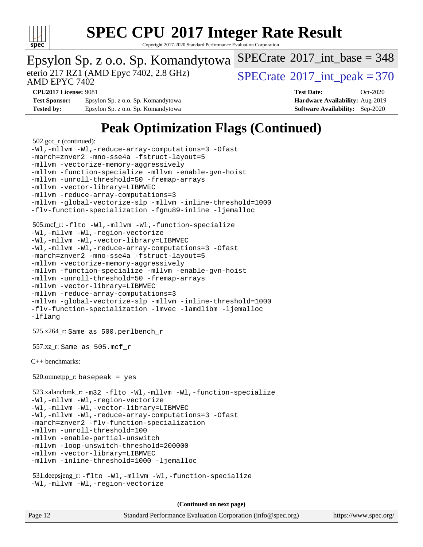

Copyright 2017-2020 Standard Performance Evaluation Corporation

### Epsylon Sp. z o.o. Sp. Komandytowa

AMD EPYC 7402

eterio 217 RZ1 (AMD Epyc 7402, 2.8 GHz)  $SPECTate^{\circ}2017$ \_int\_peak = 370

 $SPECTate$ <sup>®</sup>[2017\\_int\\_base =](http://www.spec.org/auto/cpu2017/Docs/result-fields.html#SPECrate2017intbase) 348

**[Test Sponsor:](http://www.spec.org/auto/cpu2017/Docs/result-fields.html#TestSponsor)** Epsylon Sp. z o.o. Sp. Komandytowa **[Hardware Availability:](http://www.spec.org/auto/cpu2017/Docs/result-fields.html#HardwareAvailability)** Aug-2019 **[Tested by:](http://www.spec.org/auto/cpu2017/Docs/result-fields.html#Testedby)** Epsylon Sp. z o.o. Sp. Komandytowa **[Software Availability:](http://www.spec.org/auto/cpu2017/Docs/result-fields.html#SoftwareAvailability)** Sep-2020

**[CPU2017 License:](http://www.spec.org/auto/cpu2017/Docs/result-fields.html#CPU2017License)** 9081 **[Test Date:](http://www.spec.org/auto/cpu2017/Docs/result-fields.html#TestDate)** Oct-2020

### **[Peak Optimization Flags \(Continued\)](http://www.spec.org/auto/cpu2017/Docs/result-fields.html#PeakOptimizationFlags)**

```
 502.gcc_r (continued):
-Wl,-mllvm -Wl,-reduce-array-computations=3 -Ofast
-march=znver2 -mno-sse4a -fstruct-layout=5
-mllvm -vectorize-memory-aggressively
-mllvm -function-specialize -mllvm -enable-gvn-hoist
-mllvm -unroll-threshold=50 -fremap-arrays
-mllvm -vector-library=LIBMVEC
-mllvm -reduce-array-computations=3
-mllvm -global-vectorize-slp -mllvm -inline-threshold=1000
-flv-function-specialization -fgnu89-inline -ljemalloc
 505.mcf_r: -flto -Wl,-mllvm -Wl,-function-specialize
-Wl,-mllvm -Wl,-region-vectorize
-Wl,-mllvm -Wl,-vector-library=LIBMVEC
-Wl,-mllvm -Wl,-reduce-array-computations=3 -Ofast
-march=znver2 -mno-sse4a -fstruct-layout=5
-mllvm -vectorize-memory-aggressively
-mllvm -function-specialize -mllvm -enable-gvn-hoist
-mllvm -unroll-threshold=50 -fremap-arrays
-mllvm -vector-library=LIBMVEC
-mllvm -reduce-array-computations=3
-mllvm -global-vectorize-slp -mllvm -inline-threshold=1000
-flv-function-specialization -lmvec -lamdlibm -ljemalloc
-lflang
 525.x264_r: Same as 500.perlbench_r
 557.xz_r: Same as 505.mcf_r
C++ benchmarks: 
520.omnetpp_r: basepeak = yes
 523.xalancbmk_r: -m32 -flto -Wl,-mllvm -Wl,-function-specialize
-Wl,-mllvm -Wl,-region-vectorize
-Wl,-mllvm -Wl,-vector-library=LIBMVEC
-Wl,-mllvm -Wl,-reduce-array-computations=3 -Ofast
-march=znver2 -flv-function-specialization
-mllvm -unroll-threshold=100
-mllvm -enable-partial-unswitch
-mllvm -loop-unswitch-threshold=200000
-mllvm -vector-library=LIBMVEC
-mllvm -inline-threshold=1000 -ljemalloc
 531.deepsjeng_r: -flto -Wl,-mllvm -Wl,-function-specialize
-Wl,-mllvm -Wl,-region-vectorize
```
**(Continued on next page)**